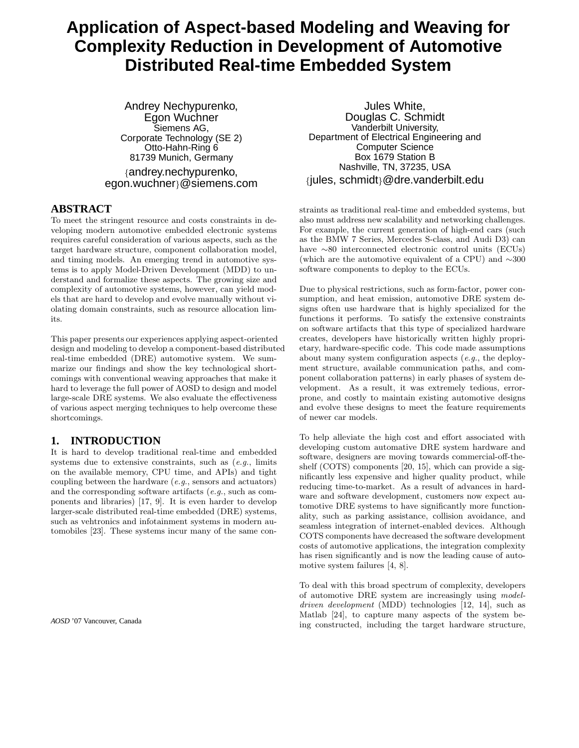# **Application of Aspect-based Modeling and Weaving for Complexity Reduction in Development of Automotive Distributed Real-time Embedded System**

Andrey Nechypurenko, Egon Wuchner Siemens AG, Corporate Technology (SE 2) Otto-Hahn-Ring 6 81739 Munich, Germany {andrey.nechypurenko, egon.wuchner}@siemens.com

# **ABSTRACT**

To meet the stringent resource and costs constraints in developing modern automotive embedded electronic systems requires careful consideration of various aspects, such as the target hardware structure, component collaboration model, and timing models. An emerging trend in automotive systems is to apply Model-Driven Development (MDD) to understand and formalize these aspects. The growing size and complexity of automotive systems, however, can yield models that are hard to develop and evolve manually without violating domain constraints, such as resource allocation limits.

This paper presents our experiences applying aspect-oriented design and modeling to develop a component-based distributed real-time embedded (DRE) automotive system. We summarize our findings and show the key technological shortcomings with conventional weaving approaches that make it hard to leverage the full power of AOSD to design and model large-scale DRE systems. We also evaluate the effectiveness of various aspect merging techniques to help overcome these shortcomings.

# **1. INTRODUCTION**

It is hard to develop traditional real-time and embedded systems due to extensive constraints, such as  $(e.g.,\)$  limits on the available memory, CPU time, and APIs) and tight coupling between the hardware (e.g., sensors and actuators) and the corresponding software artifacts (e.g., such as components and libraries) [17, 9]. It is even harder to develop larger-scale distributed real-time embedded (DRE) systems, such as vehtronics and infotainment systems in modern automobiles [23]. These systems incur many of the same con-

*AOSD* '07 Vancouver, Canada

Jules White, Douglas C. Schmidt Vanderbilt University, Department of Electrical Engineering and Computer Science Box 1679 Station B Nashville, TN, 37235, USA {jules, schmidt}@dre.vanderbilt.edu

straints as traditional real-time and embedded systems, but also must address new scalability and networking challenges. For example, the current generation of high-end cars (such as the BMW 7 Series, Mercedes S-class, and Audi D3) can have ∼80 interconnected electronic control units (ECUs) (which are the automotive equivalent of a CPU) and ∼300 software components to deploy to the ECUs.

Due to physical restrictions, such as form-factor, power consumption, and heat emission, automotive DRE system designs often use hardware that is highly specialized for the functions it performs. To satisfy the extensive constraints on software artifacts that this type of specialized hardware creates, developers have historically written highly proprietary, hardware-specific code. This code made assumptions about many system configuration aspects (e.g., the deployment structure, available communication paths, and component collaboration patterns) in early phases of system development. As a result, it was extremely tedious, errorprone, and costly to maintain existing automotive designs and evolve these designs to meet the feature requirements of newer car models.

To help alleviate the high cost and effort associated with developing custom automative DRE system hardware and software, designers are moving towards commercial-off-theshelf (COTS) components [20, 15], which can provide a significantly less expensive and higher quality product, while reducing time-to-market. As a result of advances in hardware and software development, customers now expect automotive DRE systems to have significantly more functionality, such as parking assistance, collision avoidance, and seamless integration of internet-enabled devices. Although COTS components have decreased the software development costs of automotive applications, the integration complexity has risen significantly and is now the leading cause of automotive system failures [4, 8].

To deal with this broad spectrum of complexity, developers of automotive DRE system are increasingly using modeldriven development (MDD) technologies [12, 14], such as Matlab [24], to capture many aspects of the system being constructed, including the target hardware structure,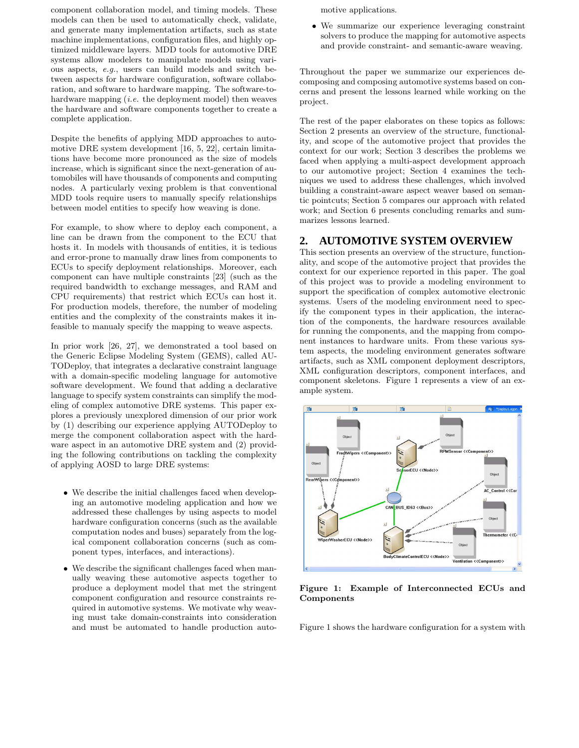component collaboration model, and timing models. These models can then be used to automatically check, validate, and generate many implementation artifacts, such as state machine implementations, configuration files, and highly optimized middleware layers. MDD tools for automotive DRE systems allow modelers to manipulate models using various aspects, e.g., users can build models and switch between aspects for hardware configuration, software collaboration, and software to hardware mapping. The software-tohardware mapping  $(i.e.$  the deployment model) then weaves the hardware and software components together to create a complete application.

Despite the benefits of applying MDD approaches to automotive DRE system development [16, 5, 22], certain limitations have become more pronounced as the size of models increase, which is significant since the next-generation of automobiles will have thousands of components and computing nodes. A particularly vexing problem is that conventional MDD tools require users to manually specify relationships between model entities to specify how weaving is done.

For example, to show where to deploy each component, a line can be drawn from the component to the ECU that hosts it. In models with thousands of entities, it is tedious and error-prone to manually draw lines from components to ECUs to specify deployment relationships. Moreover, each component can have multiple constraints [23] (such as the required bandwidth to exchange messages, and RAM and CPU requirements) that restrict which ECUs can host it. For production models, therefore, the number of modeling entities and the complexity of the constraints makes it infeasible to manualy specify the mapping to weave aspects.

In prior work [26, 27], we demonstrated a tool based on the Generic Eclipse Modeling System (GEMS), called AU-TODeploy, that integrates a declarative constraint language with a domain-specific modeling language for automotive software development. We found that adding a declarative language to specify system constraints can simplify the modeling of complex automotive DRE systems. This paper explores a previously unexplored dimension of our prior work by (1) describing our experience applying AUTODeploy to merge the component collaboration aspect with the hardware aspect in an automotive DRE system and (2) providing the following contributions on tackling the complexity of applying AOSD to large DRE systems:

- We describe the initial challenges faced when developing an automotive modeling application and how we addressed these challenges by using aspects to model hardware configuration concerns (such as the available computation nodes and buses) separately from the logical component collaboration concerns (such as component types, interfaces, and interactions).
- We describe the significant challenges faced when manually weaving these automotive aspects together to produce a deployment model that met the stringent component configuration and resource constraints required in automotive systems. We motivate why weaving must take domain-constraints into consideration and must be automated to handle production auto-

motive applications.

• We summarize our experience leveraging constraint solvers to produce the mapping for automotive aspects and provide constraint- and semantic-aware weaving.

Throughout the paper we summarize our experiences decomposing and composing automotive systems based on concerns and present the lessons learned while working on the project.

The rest of the paper elaborates on these topics as follows: Section 2 presents an overview of the structure, functionality, and scope of the automotive project that provides the context for our work; Section 3 describes the problems we faced when applying a multi-aspect development approach to our automotive project; Section 4 examines the techniques we used to address these challenges, which involved building a constraint-aware aspect weaver based on semantic pointcuts; Section 5 compares our approach with related work; and Section 6 presents concluding remarks and summarizes lessons learned.

### **2. AUTOMOTIVE SYSTEM OVERVIEW**

This section presents an overview of the structure, functionality, and scope of the automotive project that provides the context for our experience reported in this paper. The goal of this project was to provide a modeling environment to support the specification of complex automotive electronic systems. Users of the modeling environment need to specify the component types in their application, the interaction of the components, the hardware resources available for running the components, and the mapping from component instances to hardware units. From these various system aspects, the modeling environment generates software artifacts, such as XML component deployment descriptors, XML configuration descriptors, component interfaces, and component skeletons. Figure 1 represents a view of an example system.



Figure 1: Example of Interconnected ECUs and Components

Figure 1 shows the hardware configuration for a system with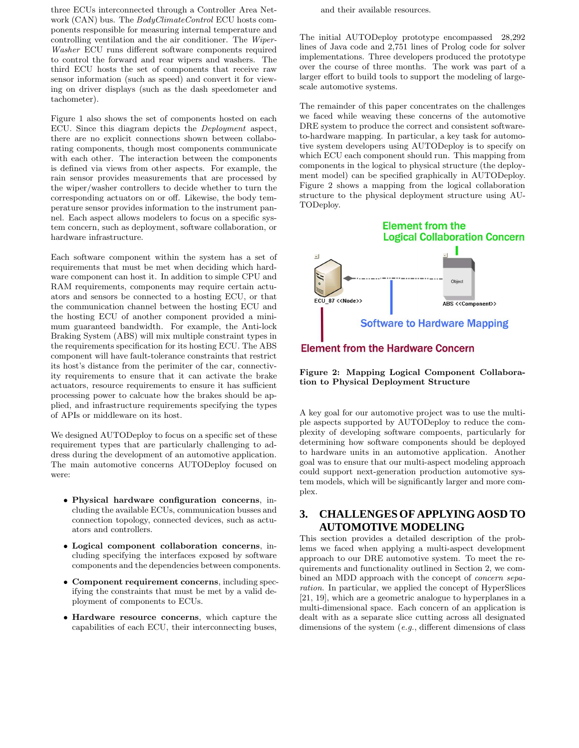three ECUs interconnected through a Controller Area Network (CAN) bus. The BodyClimateControl ECU hosts components responsible for measuring internal temperature and controlling ventilation and the air conditioner. The Wiper-Washer ECU runs different software components required to control the forward and rear wipers and washers. The third ECU hosts the set of components that receive raw sensor information (such as speed) and convert it for viewing on driver displays (such as the dash speedometer and tachometer).

Figure 1 also shows the set of components hosted on each ECU. Since this diagram depicts the Deployment aspect, there are no explicit connections shown between collaborating components, though most components communicate with each other. The interaction between the components is defined via views from other aspects. For example, the rain sensor provides measurements that are processed by the wiper/washer controllers to decide whether to turn the corresponding actuators on or off. Likewise, the body temperature sensor provides information to the instrument pannel. Each aspect allows modelers to focus on a specific system concern, such as deployment, software collaboration, or hardware infrastructure.

Each software component within the system has a set of requirements that must be met when deciding which hardware component can host it. In addition to simple CPU and RAM requirements, components may require certain actuators and sensors be connected to a hosting ECU, or that the communication channel between the hosting ECU and the hosting ECU of another component provided a minimum guaranteed bandwidth. For example, the Anti-lock Braking System (ABS) will mix multiple constraint types in the requirements specification for its hosting ECU. The ABS component will have fault-tolerance constraints that restrict its host's distance from the perimiter of the car, connectivity requirements to ensure that it can activate the brake actuators, resource requirements to ensure it has sufficient processing power to calcuate how the brakes should be applied, and infrastructure requirements specifying the types of APIs or middleware on its host.

We designed AUTODeploy to focus on a specific set of these requirement types that are particularly challenging to address during the development of an automotive application. The main automotive concerns AUTODeploy focused on were:

- Physical hardware configuration concerns, including the available ECUs, communication busses and connection topology, connected devices, such as actuators and controllers.
- Logical component collaboration concerns, including specifying the interfaces exposed by software components and the dependencies between components.
- Component requirement concerns, including specifying the constraints that must be met by a valid deployment of components to ECUs.
- Hardware resource concerns, which capture the capabilities of each ECU, their interconnecting buses,

and their available resources.

The initial AUTODeploy prototype encompassed 28,292 lines of Java code and 2,751 lines of Prolog code for solver implementations. Three developers produced the prototype over the course of three months. The work was part of a larger effort to build tools to support the modeling of largescale automotive systems.

The remainder of this paper concentrates on the challenges we faced while weaving these concerns of the automotive DRE system to produce the correct and consistent softwareto-hardware mapping. In particular, a key task for automotive system developers using AUTODeploy is to specify on which ECU each component should run. This mapping from components in the logical to physical structure (the deployment model) can be specified graphically in AUTODeploy. Figure 2 shows a mapping from the logical collaboration structure to the physical deployment structure using AU-TODeploy.

# **Element from the Logical Collaboration Concern** FCU 87 <<Node>> ABS <<Component>> **Software to Hardware Mapping**

# **Element from the Hardware Concern**

Figure 2: Mapping Logical Component Collaboration to Physical Deployment Structure

A key goal for our automotive project was to use the multiple aspects supported by AUTODeploy to reduce the complexity of developing software compoents, particularly for determining how software components should be deployed to hardware units in an automotive application. Another goal was to ensure that our multi-aspect modeling approach could support next-generation production automotive system models, which will be significantly larger and more complex.

# **3. CHALLENGES OF APPLYING AOSD TO AUTOMOTIVE MODELING**

This section provides a detailed description of the problems we faced when applying a multi-aspect development approach to our DRE automotive system. To meet the requirements and functionality outlined in Section 2, we combined an MDD approach with the concept of *concern sepa*ration. In particular, we applied the concept of HyperSlices [21, 19], which are a geometric analogue to hyperplanes in a multi-dimensional space. Each concern of an application is dealt with as a separate slice cutting across all designated dimensions of the system (e.g., different dimensions of class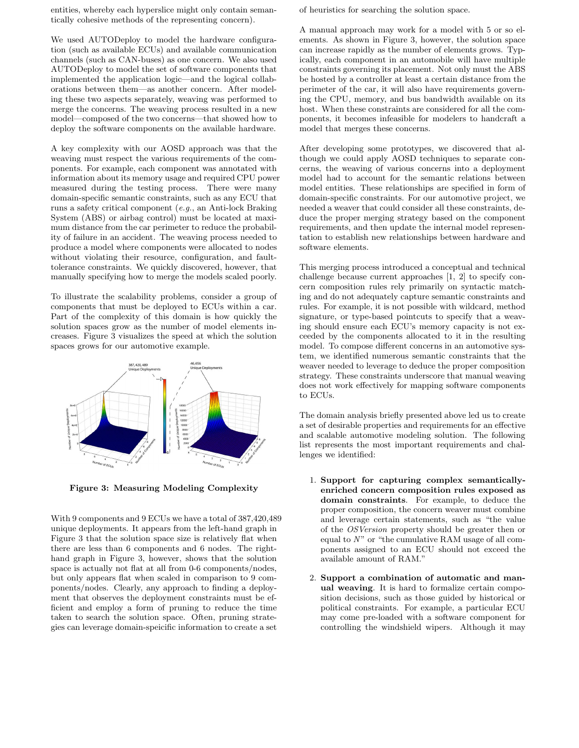entities, whereby each hyperslice might only contain semantically cohesive methods of the representing concern).

We used AUTODeploy to model the hardware configuration (such as available ECUs) and available communication channels (such as CAN-buses) as one concern. We also used AUTODeploy to model the set of software components that implemented the application logic—and the logical collaborations between them—as another concern. After modeling these two aspects separately, weaving was performed to merge the concerns. The weaving process resulted in a new model—composed of the two concerns—that showed how to deploy the software components on the available hardware.

A key complexity with our AOSD approach was that the weaving must respect the various requirements of the components. For example, each component was annotated with information about its memory usage and required CPU power measured during the testing process. There were many domain-specific semantic constraints, such as any ECU that runs a safety critical component (e.g., an Anti-lock Braking System (ABS) or airbag control) must be located at maximum distance from the car perimeter to reduce the probability of failure in an accident. The weaving process needed to produce a model where components were allocated to nodes without violating their resource, configuration, and faulttolerance constraints. We quickly discovered, however, that manually specifying how to merge the models scaled poorly.

To illustrate the scalability problems, consider a group of components that must be deployed to ECUs within a car. Part of the complexity of this domain is how quickly the solution spaces grow as the number of model elements increases. Figure 3 visualizes the speed at which the solution spaces grows for our automotive example.



Figure 3: Measuring Modeling Complexity

With 9 components and 9 ECUs we have a total of 387,420,489 unique deployments. It appears from the left-hand graph in Figure 3 that the solution space size is relatively flat when there are less than 6 components and 6 nodes. The righthand graph in Figure 3, however, shows that the solution space is actually not flat at all from 0-6 components/nodes, but only appears flat when scaled in comparison to 9 components/nodes. Clearly, any approach to finding a deployment that observes the deployment constraints must be efficient and employ a form of pruning to reduce the time taken to search the solution space. Often, pruning strategies can leverage domain-speicific information to create a set

of heuristics for searching the solution space.

A manual approach may work for a model with 5 or so elements. As shown in Figure 3, however, the solution space can increase rapidly as the number of elements grows. Typically, each component in an automobile will have multiple constraints governing its placement. Not only must the ABS be hosted by a controller at least a certain distance from the perimeter of the car, it will also have requirements governing the CPU, memory, and bus bandwidth available on its host. When these constraints are considered for all the components, it becomes infeasible for modelers to handcraft a model that merges these concerns.

After developing some prototypes, we discovered that although we could apply AOSD techniques to separate concerns, the weaving of various concerns into a deployment model had to account for the semantic relations between model entities. These relationships are specified in form of domain-specific constraints. For our automotive project, we needed a weaver that could consider all these constraints, deduce the proper merging strategy based on the component requirements, and then update the internal model representation to establish new relationships between hardware and software elements.

This merging process introduced a conceptual and technical challenge because current approaches [1, 2] to specify concern composition rules rely primarily on syntactic matching and do not adequately capture semantic constraints and rules. For example, it is not possible with wildcard, method signature, or type-based pointcuts to specify that a weaving should ensure each ECU's memory capacity is not exceeded by the components allocated to it in the resulting model. To compose different concerns in an automotive system, we identified numerous semantic constraints that the weaver needed to leverage to deduce the proper composition strategy. These constraints underscore that manual weaving does not work effectively for mapping software components to ECUs.

The domain analysis briefly presented above led us to create a set of desirable properties and requirements for an effective and scalable automotive modeling solution. The following list represents the most important requirements and challenges we identified:

- 1. Support for capturing complex semanticallyenriched concern composition rules exposed as domain constraints. For example, to deduce the proper composition, the concern weaver must combine and leverage certain statements, such as "the value of the OSVersion property should be greater then or equal to  $N$ " or "the cumulative RAM usage of all components assigned to an ECU should not exceed the available amount of RAM."
- 2. Support a combination of automatic and manual weaving. It is hard to formalize certain composition decisions, such as those guided by historical or political constraints. For example, a particular ECU may come pre-loaded with a software component for controlling the windshield wipers. Although it may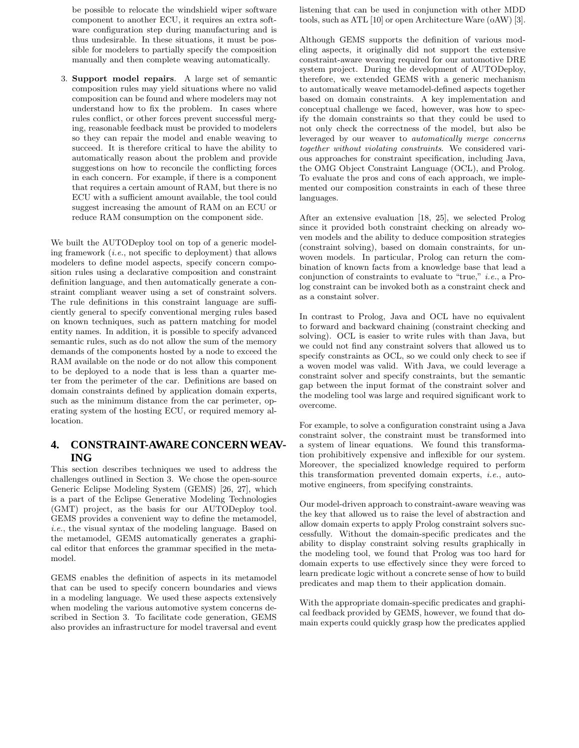be possible to relocate the windshield wiper software component to another ECU, it requires an extra software configuration step during manufacturing and is thus undesirable. In these situations, it must be possible for modelers to partially specify the composition manually and then complete weaving automatically.

3. Support model repairs. A large set of semantic composition rules may yield situations where no valid composition can be found and where modelers may not understand how to fix the problem. In cases where rules conflict, or other forces prevent successful merging, reasonable feedback must be provided to modelers so they can repair the model and enable weaving to succeed. It is therefore critical to have the ability to automatically reason about the problem and provide suggestions on how to reconcile the conflicting forces in each concern. For example, if there is a component that requires a certain amount of RAM, but there is no ECU with a sufficient amount available, the tool could suggest increasing the amount of RAM on an ECU or reduce RAM consumption on the component side.

We built the AUTODeploy tool on top of a generic modeling framework (i.e., not specific to deployment) that allows modelers to define model aspects, specify concern composition rules using a declarative composition and constraint definition language, and then automatically generate a constraint compliant weaver using a set of constraint solvers. The rule definitions in this constraint language are sufficiently general to specify conventional merging rules based on known techniques, such as pattern matching for model entity names. In addition, it is possible to specify advanced semantic rules, such as do not allow the sum of the memory demands of the components hosted by a node to exceed the RAM available on the node or do not allow this component to be deployed to a node that is less than a quarter meter from the perimeter of the car. Definitions are based on domain constraints defined by application domain experts, such as the minimum distance from the car perimeter, operating system of the hosting ECU, or required memory allocation.

# **4. CONSTRAINT-AWARE CONCERN WEAV-ING**

This section describes techniques we used to address the challenges outlined in Section 3. We chose the open-source Generic Eclipse Modeling System (GEMS) [26, 27], which is a part of the Eclipse Generative Modeling Technologies (GMT) project, as the basis for our AUTODeploy tool. GEMS provides a convenient way to define the metamodel, i.e., the visual syntax of the modeling language. Based on the metamodel, GEMS automatically generates a graphical editor that enforces the grammar specified in the metamodel.

GEMS enables the definition of aspects in its metamodel that can be used to specify concern boundaries and views in a modeling language. We used these aspects extensively when modeling the various automotive system concerns described in Section 3. To facilitate code generation, GEMS also provides an infrastructure for model traversal and event listening that can be used in conjunction with other MDD tools, such as ATL [10] or open Architecture Ware (oAW) [3].

Although GEMS supports the definition of various modeling aspects, it originally did not support the extensive constraint-aware weaving required for our automotive DRE system project. During the development of AUTODeploy, therefore, we extended GEMS with a generic mechanism to automatically weave metamodel-defined aspects together based on domain constraints. A key implementation and conceptual challenge we faced, however, was how to specify the domain constraints so that they could be used to not only check the correctness of the model, but also be leveraged by our weaver to automatically merge concerns together without violating constraints. We considered various approaches for constraint specification, including Java, the OMG Object Constraint Language (OCL), and Prolog. To evaluate the pros and cons of each approach, we implemented our composition constraints in each of these three languages.

After an extensive evaluation [18, 25], we selected Prolog since it provided both constraint checking on already woven models and the ability to deduce composition strategies (constraint solving), based on domain constraints, for unwoven models. In particular, Prolog can return the combination of known facts from a knowledge base that lead a conjunction of constraints to evaluate to "true," i.e., a Prolog constraint can be invoked both as a constraint check and as a constaint solver.

In contrast to Prolog, Java and OCL have no equivalent to forward and backward chaining (constraint checking and solving). OCL is easier to write rules with than Java, but we could not find any constraint solvers that allowed us to specify constraints as OCL, so we could only check to see if a woven model was valid. With Java, we could leverage a constraint solver and specify constraints, but the semantic gap between the input format of the constraint solver and the modeling tool was large and required significant work to overcome.

For example, to solve a configuration constraint using a Java constraint solver, the constraint must be transformed into a system of linear equations. We found this transformation prohibitively expensive and inflexible for our system. Moreover, the specialized knowledge required to perform this transformation prevented domain experts, i.e., automotive engineers, from specifying constraints.

Our model-driven approach to constraint-aware weaving was the key that allowed us to raise the level of abstraction and allow domain experts to apply Prolog constraint solvers successfully. Without the domain-specific predicates and the ability to display constraint solving results graphically in the modeling tool, we found that Prolog was too hard for domain experts to use effectively since they were forced to learn predicate logic without a concrete sense of how to build predicates and map them to their application domain.

With the appropriate domain-specific predicates and graphical feedback provided by GEMS, however, we found that domain experts could quickly grasp how the predicates applied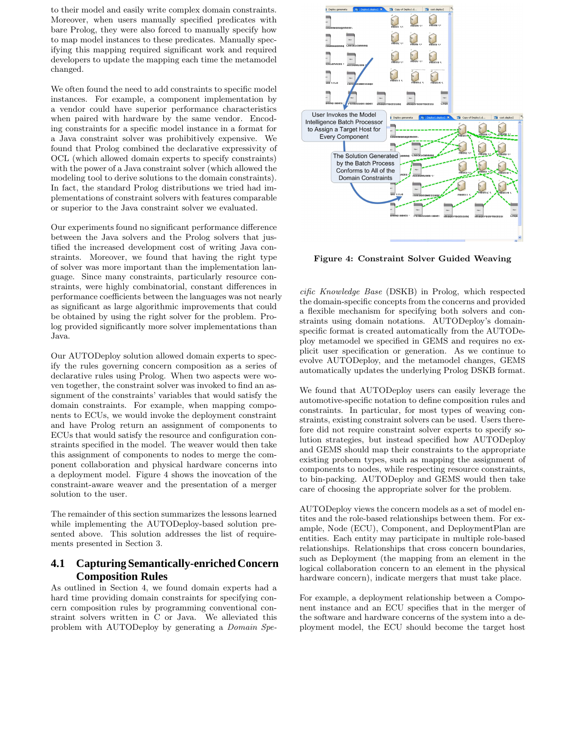to their model and easily write complex domain constraints. Moreover, when users manually specified predicates with bare Prolog, they were also forced to manually specify how to map model instances to these predicates. Manually specifying this mapping required significant work and required developers to update the mapping each time the metamodel changed.

We often found the need to add constraints to specific model instances. For example, a component implementation by a vendor could have superior performance characteristics when paired with hardware by the same vendor. Encoding constraints for a specific model instance in a format for a Java constraint solver was prohibitively expensive. We found that Prolog combined the declarative expressivity of OCL (which allowed domain experts to specify constraints) with the power of a Java constraint solver (which allowed the modeling tool to derive solutions to the domain constraints). In fact, the standard Prolog distributions we tried had implementations of constraint solvers with features comparable or superior to the Java constraint solver we evaluated.

Our experiments found no significant performance difference between the Java solvers and the Prolog solvers that justified the increased development cost of writing Java constraints. Moreover, we found that having the right type of solver was more important than the implementation language. Since many constraints, particularly resource constraints, were highly combinatorial, constant differences in performance coefficients between the languages was not nearly as significant as large algorithmic improvements that could be obtained by using the right solver for the problem. Prolog provided significantly more solver implementations than Java.

Our AUTODeploy solution allowed domain experts to specify the rules governing concern composition as a series of declarative rules using Prolog. When two aspects were woven together, the constraint solver was invoked to find an assignment of the constraints' variables that would satisfy the domain constraints. For example, when mapping components to ECUs, we would invoke the deployment constraint and have Prolog return an assignment of components to ECUs that would satisfy the resource and configuration constraints specified in the model. The weaver would then take this assignment of components to nodes to merge the component collaboration and physical hardware concerns into a deployment model. Figure 4 shows the inovcation of the constraint-aware weaver and the presentation of a merger solution to the user.

The remainder of this section summarizes the lessons learned while implementing the AUTODeploy-based solution presented above. This solution addresses the list of requirements presented in Section 3.

# **4.1 Capturing Semantically-enriched Concern Composition Rules**

As outlined in Section 4, we found domain experts had a hard time providing domain constraints for specifying concern composition rules by programming conventional constraint solvers written in C or Java. We alleviated this problem with AUTODeploy by generating a Domain Spe-



Figure 4: Constraint Solver Guided Weaving

cific Knowledge Base (DSKB) in Prolog, which respected the domain-specific concepts from the concerns and provided a flexible mechanism for specifying both solvers and constraints using domain notations. AUTODeploy's domainspecific format is created automatically from the AUTODeploy metamodel we specified in GEMS and requires no explicit user specification or generation. As we continue to evolve AUTODeploy, and the metamodel changes, GEMS automatically updates the underlying Prolog DSKB format.

We found that AUTODeploy users can easily leverage the automotive-specific notation to define composition rules and constraints. In particular, for most types of weaving constraints, existing constraint solvers can be used. Users therefore did not require constraint solver experts to specify solution strategies, but instead specified how AUTODeploy and GEMS should map their constraints to the appropriate existing probem types, such as mapping the assignment of components to nodes, while respecting resource constraints, to bin-packing. AUTODeploy and GEMS would then take care of choosing the appropriate solver for the problem.

AUTODeploy views the concern models as a set of model entites and the role-based relationships between them. For example, Node (ECU), Component, and DeploymentPlan are entities. Each entity may participate in multiple role-based relationships. Relationships that cross concern boundaries, such as Deployment (the mapping from an element in the logical collaboration concern to an element in the physical hardware concern), indicate mergers that must take place.

For example, a deployment relationship between a Component instance and an ECU specifies that in the merger of the software and hardware concerns of the system into a deployment model, the ECU should become the target host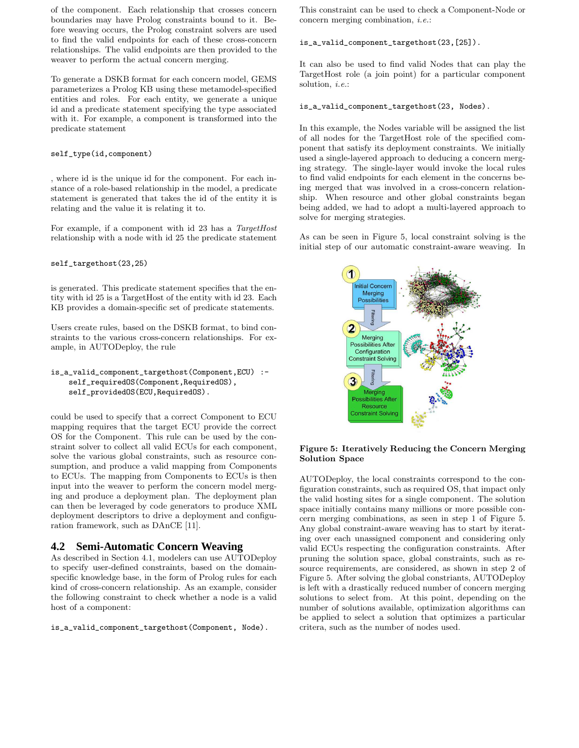of the component. Each relationship that crosses concern boundaries may have Prolog constraints bound to it. Before weaving occurs, the Prolog constraint solvers are used to find the valid endpoints for each of these cross-concern relationships. The valid endpoints are then provided to the weaver to perform the actual concern merging.

To generate a DSKB format for each concern model, GEMS parameterizes a Prolog KB using these metamodel-specified entities and roles. For each entity, we generate a unique id and a predicate statement specifying the type associated with it. For example, a component is transformed into the predicate statement

#### self\_type(id,component)

, where id is the unique id for the component. For each instance of a role-based relationship in the model, a predicate statement is generated that takes the id of the entity it is relating and the value it is relating it to.

For example, if a component with id 23 has a TargetHost relationship with a node with id 25 the predicate statement

#### self\_targethost(23,25)

is generated. This predicate statement specifies that the entity with id 25 is a TargetHost of the entity with id 23. Each KB provides a domain-specific set of predicate statements.

Users create rules, based on the DSKB format, to bind constraints to the various cross-concern relationships. For example, in AUTODeploy, the rule

```
is_a_valid_component_targethost(Component,ECU) :-
  self_requiredOS(Component,RequiredOS),
   self_providedOS(ECU, RequiredOS).
```
could be used to specify that a correct Component to ECU mapping requires that the target ECU provide the correct OS for the Component. This rule can be used by the constraint solver to collect all valid ECUs for each component, solve the various global constraints, such as resource consumption, and produce a valid mapping from Components to ECUs. The mapping from Components to ECUs is then input into the weaver to perform the concern model merging and produce a deployment plan. The deployment plan can then be leveraged by code generators to produce XML deployment descriptors to drive a deployment and configuration framework, such as DAnCE [11].

# **4.2 Semi-Automatic Concern Weaving**

As described in Section 4.1, modelers can use AUTODeploy to specify user-defined constraints, based on the domainspecific knowledge base, in the form of Prolog rules for each kind of cross-concern relationship. As an example, consider the following constraint to check whether a node is a valid host of a component:

is\_a\_valid\_component\_targethost(Component, Node).

This constraint can be used to check a Component-Node or concern merging combination, i.e.:

#### is\_a\_valid\_component\_targethost(23,[25]).

It can also be used to find valid Nodes that can play the TargetHost role (a join point) for a particular component solution, *i.e.*:

#### is\_a\_valid\_component\_targethost(23, Nodes).

In this example, the Nodes variable will be assigned the list of all nodes for the TargetHost role of the specified component that satisfy its deployment constraints. We initially used a single-layered approach to deducing a concern merging strategy. The single-layer would invoke the local rules to find valid endpoints for each element in the concerns being merged that was involved in a cross-concern relationship. When resource and other global constraints began being added, we had to adopt a multi-layered approach to solve for merging strategies.

As can be seen in Figure 5, local constraint solving is the initial step of our automatic constraint-aware weaving. In



#### Figure 5: Iteratively Reducing the Concern Merging Solution Space

AUTODeploy, the local constraints correspond to the configuration constraints, such as required OS, that impact only the valid hosting sites for a single component. The solution space initially contains many millions or more possible concern merging combinations, as seen in step 1 of Figure 5. Any global constraint-aware weaving has to start by iterating over each unassigned component and considering only valid ECUs respecting the configuration constraints. After pruning the solution space, global constraints, such as resource requirements, are considered, as shown in step 2 of Figure 5. After solving the global constriants, AUTODeploy is left with a drastically reduced number of concern merging solutions to select from. At this point, depending on the number of solutions available, optimization algorithms can be applied to select a solution that optimizes a particular critera, such as the number of nodes used.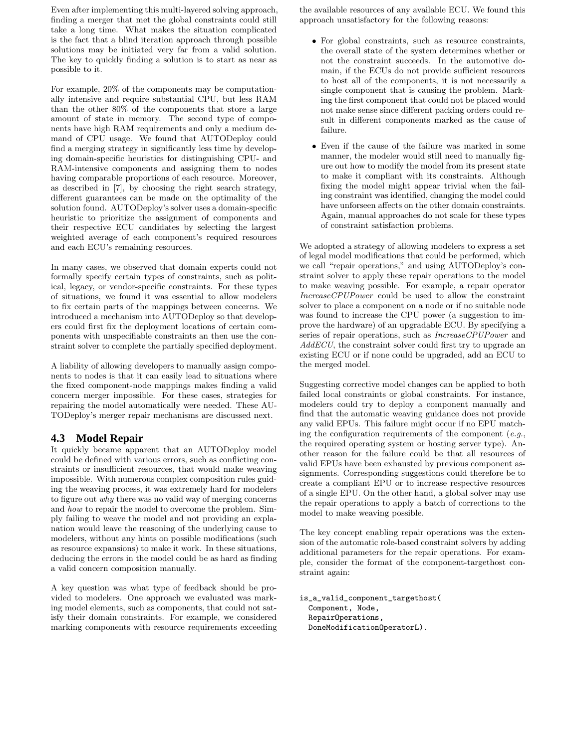Even after implementing this multi-layered solving approach, finding a merger that met the global constraints could still take a long time. What makes the situation complicated is the fact that a blind iteration approach through possible solutions may be initiated very far from a valid solution. The key to quickly finding a solution is to start as near as possible to it.

For example, 20% of the components may be computationally intensive and require substantial CPU, but less RAM than the other 80% of the components that store a large amount of state in memory. The second type of components have high RAM requirements and only a medium demand of CPU usage. We found that AUTODeploy could find a merging strategy in significantly less time by developing domain-specific heuristics for distinguishing CPU- and RAM-intensive components and assigning them to nodes having comparable proportions of each resource. Moreover, as described in [7], by choosing the right search strategy, different guarantees can be made on the optimality of the solution found. AUTODeploy's solver uses a domain-specific heuristic to prioritize the assignment of components and their respective ECU candidates by selecting the largest weighted average of each component's required resources and each ECU's remaining resources.

In many cases, we observed that domain experts could not formally specify certain types of constraints, such as political, legacy, or vendor-specific constraints. For these types of situations, we found it was essential to allow modelers to fix certain parts of the mappings between concerns. We introduced a mechanism into AUTODeploy so that developers could first fix the deployment locations of certain components with unspecifiable constraints an then use the constraint solver to complete the partially specified deployment.

A liability of allowing developers to manually assign components to nodes is that it can easily lead to situations where the fixed component-node mappings makes finding a valid concern merger impossible. For these cases, strategies for repairing the model automatically were needed. These AU-TODeploy's merger repair mechanisms are discussed next.

# **4.3 Model Repair**

It quickly became apparent that an AUTODeploy model could be defined with various errors, such as conflicting constraints or insufficient resources, that would make weaving impossible. With numerous complex composition rules guiding the weaving process, it was extremely hard for modelers to figure out why there was no valid way of merging concerns and how to repair the model to overcome the problem. Simply failing to weave the model and not providing an explanation would leave the reasoning of the underlying cause to modelers, without any hints on possible modifications (such as resource expansions) to make it work. In these situations, deducing the errors in the model could be as hard as finding a valid concern composition manually.

A key question was what type of feedback should be provided to modelers. One approach we evaluated was marking model elements, such as components, that could not satisfy their domain constraints. For example, we considered marking components with resource requirements exceeding the available resources of any available ECU. We found this approach unsatisfactory for the following reasons:

- For global constraints, such as resource constraints, the overall state of the system determines whether or not the constraint succeeds. In the automotive domain, if the ECUs do not provide sufficient resources to host all of the components, it is not necessarily a single component that is causing the problem. Marking the first component that could not be placed would not make sense since different packing orders could result in different components marked as the cause of failure.
- Even if the cause of the failure was marked in some manner, the modeler would still need to manually figure out how to modify the model from its present state to make it compliant with its constraints. Although fixing the model might appear trivial when the failing constraint was identified, changing the model could have unforseen affects on the other domain constraints. Again, manual approaches do not scale for these types of constraint satisfaction problems.

We adopted a strategy of allowing modelers to express a set of legal model modifications that could be performed, which we call "repair operations," and using AUTODeploy's constraint solver to apply these repair operations to the model to make weaving possible. For example, a repair operator IncreaseCPUPower could be used to allow the constraint solver to place a component on a node or if no suitable node was found to increase the CPU power (a suggestion to improve the hardware) of an upgradable ECU. By specifying a series of repair operations, such as IncreaseCPUPower and AddECU, the constraint solver could first try to upgrade an existing ECU or if none could be upgraded, add an ECU to the merged model.

Suggesting corrective model changes can be applied to both failed local constraints or global constraints. For instance, modelers could try to deploy a component manually and find that the automatic weaving guidance does not provide any valid EPUs. This failure might occur if no EPU matching the configuration requirements of the component  $(e.g.,$ the required operating system or hosting server type). Another reason for the failure could be that all resources of valid EPUs have been exhausted by previous component assignments. Corresponding suggestions could therefore be to create a compliant EPU or to increase respective resources of a single EPU. On the other hand, a global solver may use the repair operations to apply a batch of corrections to the model to make weaving possible.

The key concept enabling repair operations was the extension of the automatic role-based constraint solvers by adding additional parameters for the repair operations. For example, consider the format of the component-targethost constraint again:

```
is_a_valid_component_targethost(
 Component, Node,
 RepairOperations,
DoneModificationOperatorL).
```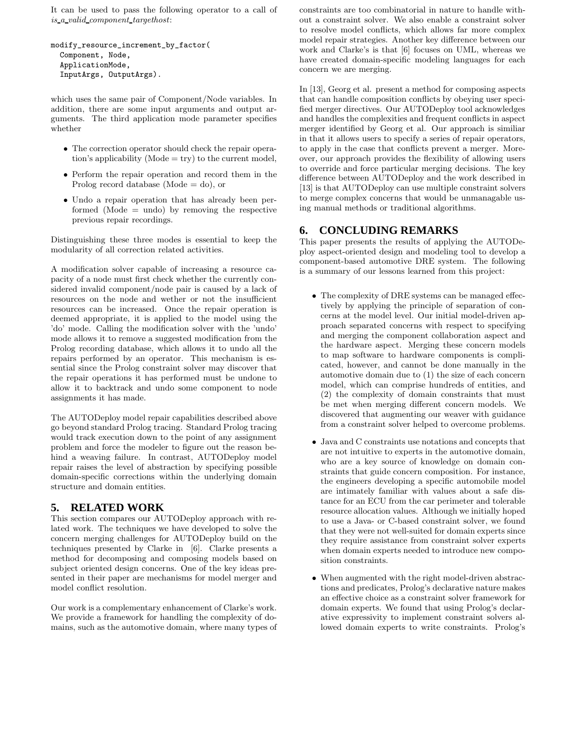It can be used to pass the following operator to a call of is a valid component targethost:

```
modify_resource_increment_by_factor(
 Component, Node,
ApplicationMode,
 InputArgs, OutputArgs).
```
which uses the same pair of Component/Node variables. In addition, there are some input arguments and output arguments. The third application mode parameter specifies whether

- The correction operator should check the repair operation's applicability ( $\text{Mode} = \text{try}$ ) to the current model,
- Perform the repair operation and record them in the Prolog record database (Mode  $=$  do), or
- Undo a repair operation that has already been performed  $(Mode = undo)$  by removing the respective previous repair recordings.

Distinguishing these three modes is essential to keep the modularity of all correction related activities.

A modification solver capable of increasing a resource capacity of a node must first check whether the currently considered invalid component/node pair is caused by a lack of resources on the node and wether or not the insufficient resources can be increased. Once the repair operation is deemed appropriate, it is applied to the model using the 'do' mode. Calling the modification solver with the 'undo' mode allows it to remove a suggested modification from the Prolog recording database, which allows it to undo all the repairs performed by an operator. This mechanism is essential since the Prolog constraint solver may discover that the repair operations it has performed must be undone to allow it to backtrack and undo some component to node assignments it has made.

The AUTODeploy model repair capabilities described above go beyond standard Prolog tracing. Standard Prolog tracing would track execution down to the point of any assignment problem and force the modeler to figure out the reason behind a weaving failure. In contrast, AUTODeploy model repair raises the level of abstraction by specifying possible domain-specific corrections within the underlying domain structure and domain entities.

# **5. RELATED WORK**

This section compares our AUTODeploy approach with related work. The techniques we have developed to solve the concern merging challenges for AUTODeploy build on the techniques presented by Clarke in [6]. Clarke presents a method for decomposing and composing models based on subject oriented design concerns. One of the key ideas presented in their paper are mechanisms for model merger and model conflict resolution.

Our work is a complementary enhancement of Clarke's work. We provide a framework for handling the complexity of domains, such as the automotive domain, where many types of constraints are too combinatorial in nature to handle without a constraint solver. We also enable a constraint solver to resolve model conflicts, which allows far more complex model repair strategies. Another key difference between our work and Clarke's is that [6] focuses on UML, whereas we have created domain-specific modeling languages for each concern we are merging.

In [13], Georg et al. present a method for composing aspects that can handle composition conflicts by obeying user specified merger directives. Our AUTODeploy tool acknowledges and handles the complexities and frequent conflicts in aspect merger identified by Georg et al. Our approach is similiar in that it allows users to specify a series of repair operators, to apply in the case that conflicts prevent a merger. Moreover, our approach provides the flexibility of allowing users to override and force particular merging decisions. The key difference between AUTODeploy and the work described in [13] is that AUTODeploy can use multiple constraint solvers to merge complex concerns that would be unmanagable using manual methods or traditional algorithms.

# **6. CONCLUDING REMARKS**

This paper presents the results of applying the AUTODeploy aspect-oriented design and modeling tool to develop a component-based automotive DRE system. The following is a summary of our lessons learned from this project:

- The complexity of DRE systems can be managed effectively by applying the principle of separation of concerns at the model level. Our initial model-driven approach separated concerns with respect to specifying and merging the component collaboration aspect and the hardware aspect. Merging these concern models to map software to hardware components is complicated, however, and cannot be done manually in the automotive domain due to (1) the size of each concern model, which can comprise hundreds of entities, and (2) the complexity of domain constraints that must be met when merging different concern models. We discovered that augmenting our weaver with guidance from a constraint solver helped to overcome problems.
- Java and C constraints use notations and concepts that are not intuitive to experts in the automotive domain, who are a key source of knowledge on domain constraints that guide concern composition. For instance, the engineers developing a specific automobile model are intimately familiar with values about a safe distance for an ECU from the car perimeter and tolerable resource allocation values. Although we initially hoped to use a Java- or C-based constraint solver, we found that they were not well-suited for domain experts since they require assistance from constraint solver experts when domain experts needed to introduce new composition constraints.
- When augmented with the right model-driven abstractions and predicates, Prolog's declarative nature makes an effective choice as a constraint solver framework for domain experts. We found that using Prolog's declarative expressivity to implement constraint solvers allowed domain experts to write constraints. Prolog's